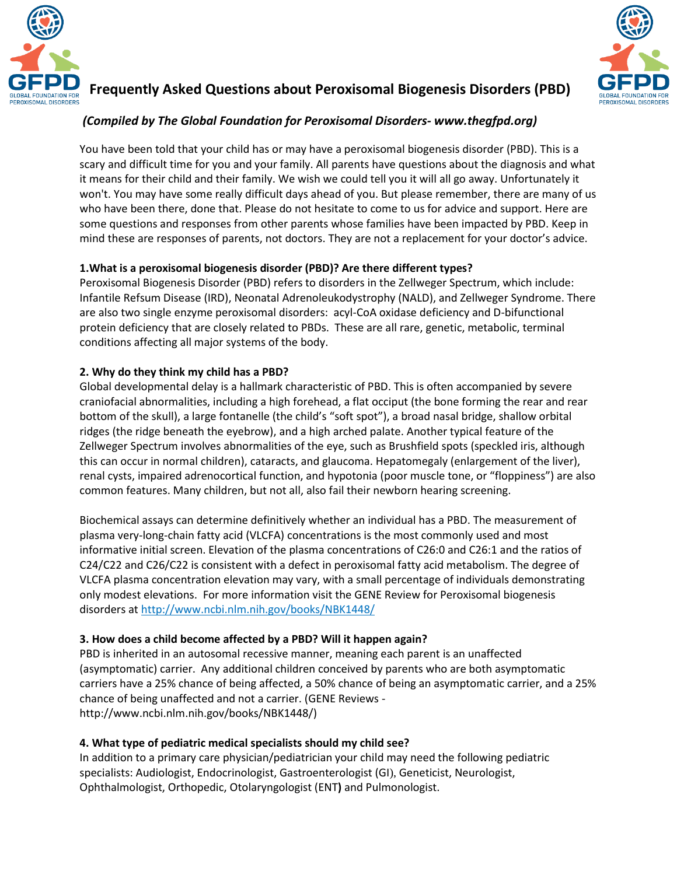



# **Frequently Asked Questions about Peroxisomal Biogenesis Disorders (PBD)**

# *(Compiled by The Global Foundation for Peroxisomal Disorders- www.thegfpd.org)*

You have been told that your child has or may have a peroxisomal biogenesis disorder (PBD). This is a scary and difficult time for you and your family. All parents have questions about the diagnosis and what it means for their child and their family. We wish we could tell you it will all go away. Unfortunately it won't. You may have some really difficult days ahead of you. But please remember, there are many of us who have been there, done that. Please do not hesitate to come to us for advice and support. Here are some questions and responses from other parents whose families have been impacted by PBD. Keep in mind these are responses of parents, not doctors. They are not a replacement for your doctor's advice.

### **1.What is a peroxisomal biogenesis disorder (PBD)? Are there different types?**

Peroxisomal Biogenesis Disorder (PBD) refers to disorders in the Zellweger Spectrum, which include: Infantile Refsum Disease (IRD), Neonatal Adrenoleukodystrophy (NALD), and Zellweger Syndrome. There are also two single enzyme peroxisomal disorders: acyl-CoA oxidase deficiency and D-bifunctional protein deficiency that are closely related to PBDs. These are all rare, genetic, metabolic, terminal conditions affecting all major systems of the body.

### **2. Why do they think my child has a PBD?**

Global developmental delay is a hallmark characteristic of PBD. This is often accompanied by severe craniofacial abnormalities, including a high forehead, a flat occiput (the bone forming the rear and rear bottom of the skull), a large fontanelle (the child's "soft spot"), a broad nasal bridge, shallow orbital ridges (the ridge beneath the eyebrow), and a high arched palate. Another typical feature of the Zellweger Spectrum involves abnormalities of the eye, such as Brushfield spots (speckled iris, although this can occur in normal children), cataracts, and glaucoma. Hepatomegaly (enlargement of the liver), renal cysts, impaired adrenocortical function, and hypotonia (poor muscle tone, or "floppiness") are also common features. Many children, but not all, also fail their newborn hearing screening.

Biochemical assays can determine definitively whether an individual has a PBD. The measurement of plasma very-long-chain fatty acid (VLCFA) concentrations is the most commonly used and most informative initial screen. Elevation of the plasma concentrations of C26:0 and C26:1 and the ratios of C24/C22 and C26/C22 is consistent with a defect in peroxisomal fatty acid metabolism. The degree of VLCFA plasma concentration elevation may vary, with a small percentage of individuals demonstrating only modest elevations. For more information visit the GENE Review for Peroxisomal biogenesis disorders at http://www.ncbi.nlm.nih.gov/books/NBK1448/

## **3. How does a child become affected by a PBD? Will it happen again?**

PBD is inherited in an autosomal recessive manner, meaning each parent is an unaffected (asymptomatic) carrier. Any additional children conceived by parents who are both asymptomatic carriers have a 25% chance of being affected, a 50% chance of being an asymptomatic carrier, and a 25% chance of being unaffected and not a carrier. (GENE Reviews http://www.ncbi.nlm.nih.gov/books/NBK1448/)

## **4. What type of pediatric medical specialists should my child see?**

In addition to a primary care physician/pediatrician your child may need the following pediatric specialists: Audiologist, Endocrinologist, Gastroenterologist (GI), Geneticist, Neurologist, Ophthalmologist, Orthopedic, Otolaryngologist (ENT**)** and Pulmonologist.